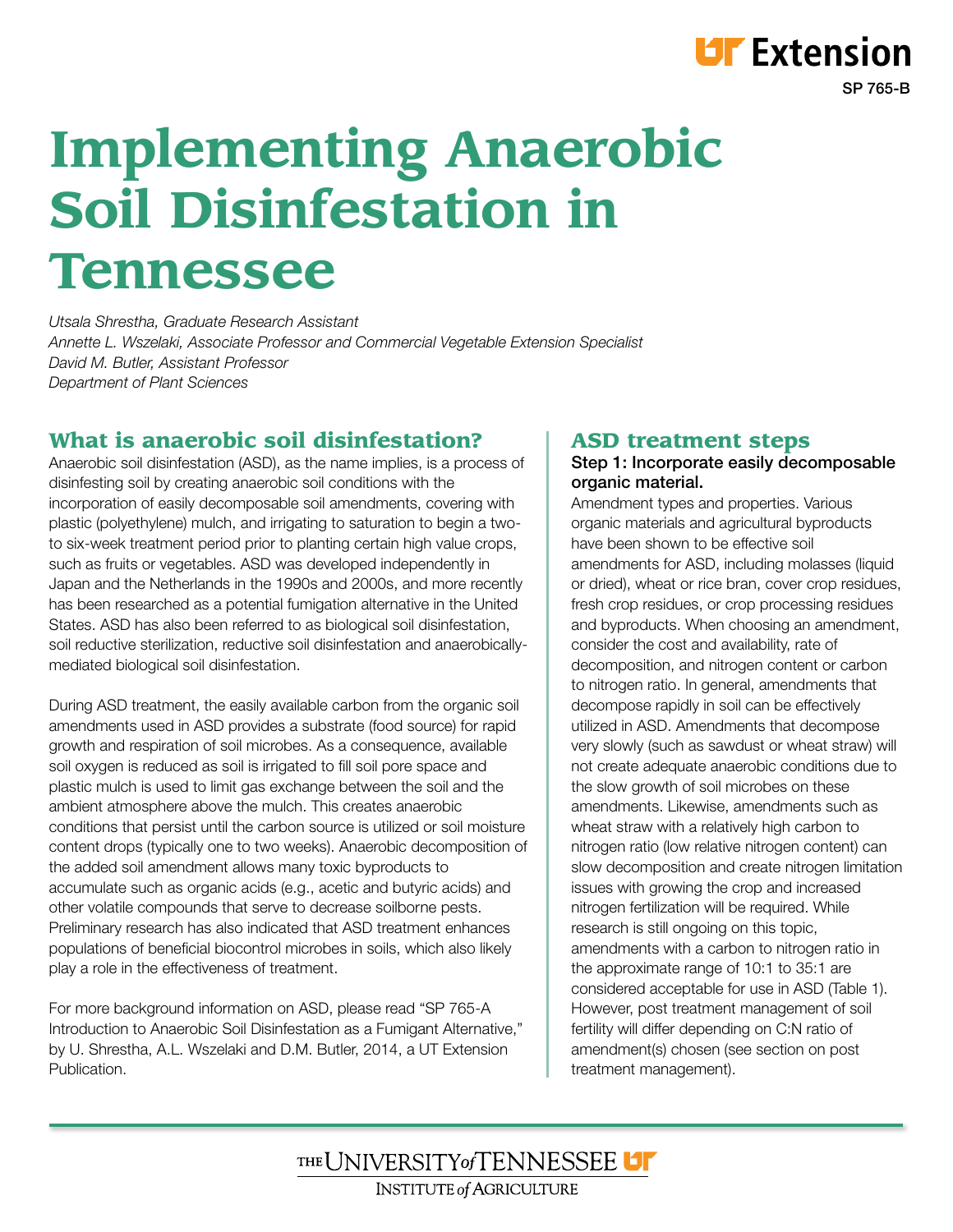# **Implementing Anaerobic Soil Disinfestation in Tennessee**

*Utsala Shrestha, Graduate Research Assistant Annette L. Wszelaki, Associate Professor and Commercial Vegetable Extension Specialist David M. Butler, Assistant Professor Department of Plant Sciences*

### What is anaerobic soil disinfestation?

Anaerobic soil disinfestation (ASD), as the name implies, is a process of disinfesting soil by creating anaerobic soil conditions with the incorporation of easily decomposable soil amendments, covering with plastic (polyethylene) mulch, and irrigating to saturation to begin a twoto six-week treatment period prior to planting certain high value crops, such as fruits or vegetables. ASD was developed independently in Japan and the Netherlands in the 1990s and 2000s, and more recently has been researched as a potential fumigation alternative in the United States. ASD has also been referred to as biological soil disinfestation, soil reductive sterilization, reductive soil disinfestation and anaerobicallymediated biological soil disinfestation.

During ASD treatment, the easily available carbon from the organic soil amendments used in ASD provides a substrate (food source) for rapid growth and respiration of soil microbes. As a consequence, available soil oxygen is reduced as soil is irrigated to fill soil pore space and plastic mulch is used to limit gas exchange between the soil and the ambient atmosphere above the mulch. This creates anaerobic conditions that persist until the carbon source is utilized or soil moisture content drops (typically one to two weeks). Anaerobic decomposition of the added soil amendment allows many toxic byproducts to accumulate such as organic acids (e.g., acetic and butyric acids) and other volatile compounds that serve to decrease soilborne pests. Preliminary research has also indicated that ASD treatment enhances populations of beneficial biocontrol microbes in soils, which also likely play a role in the effectiveness of treatment.

For more background information on ASD, please read "SP 765-A Introduction to Anaerobic Soil Disinfestation as a Fumigant Alternative," by U. Shrestha, A.L. Wszelaki and D.M. Butler, 2014, a UT Extension **Publication** 

#### ASD treatment steps

#### Step 1: Incorporate easily decomposable organic material.

SP 765-B

**LIF** Extension

Amendment types and properties. Various organic materials and agricultural byproducts have been shown to be effective soil amendments for ASD, including molasses (liquid or dried), wheat or rice bran, cover crop residues, fresh crop residues, or crop processing residues and byproducts. When choosing an amendment, consider the cost and availability, rate of decomposition, and nitrogen content or carbon to nitrogen ratio. In general, amendments that decompose rapidly in soil can be effectively utilized in ASD. Amendments that decompose very slowly (such as sawdust or wheat straw) will not create adequate anaerobic conditions due to the slow growth of soil microbes on these amendments. Likewise, amendments such as wheat straw with a relatively high carbon to nitrogen ratio (low relative nitrogen content) can slow decomposition and create nitrogen limitation issues with growing the crop and increased nitrogen fertilization will be required. While research is still ongoing on this topic, amendments with a carbon to nitrogen ratio in the approximate range of 10:1 to 35:1 are considered acceptable for use in ASD (Table 1). However, post treatment management of soil fertility will differ depending on C:N ratio of amendment(s) chosen (see section on post treatment management).

THE UNIVERSITY of TENNESSEE U **INSTITUTE of AGRICULTURE**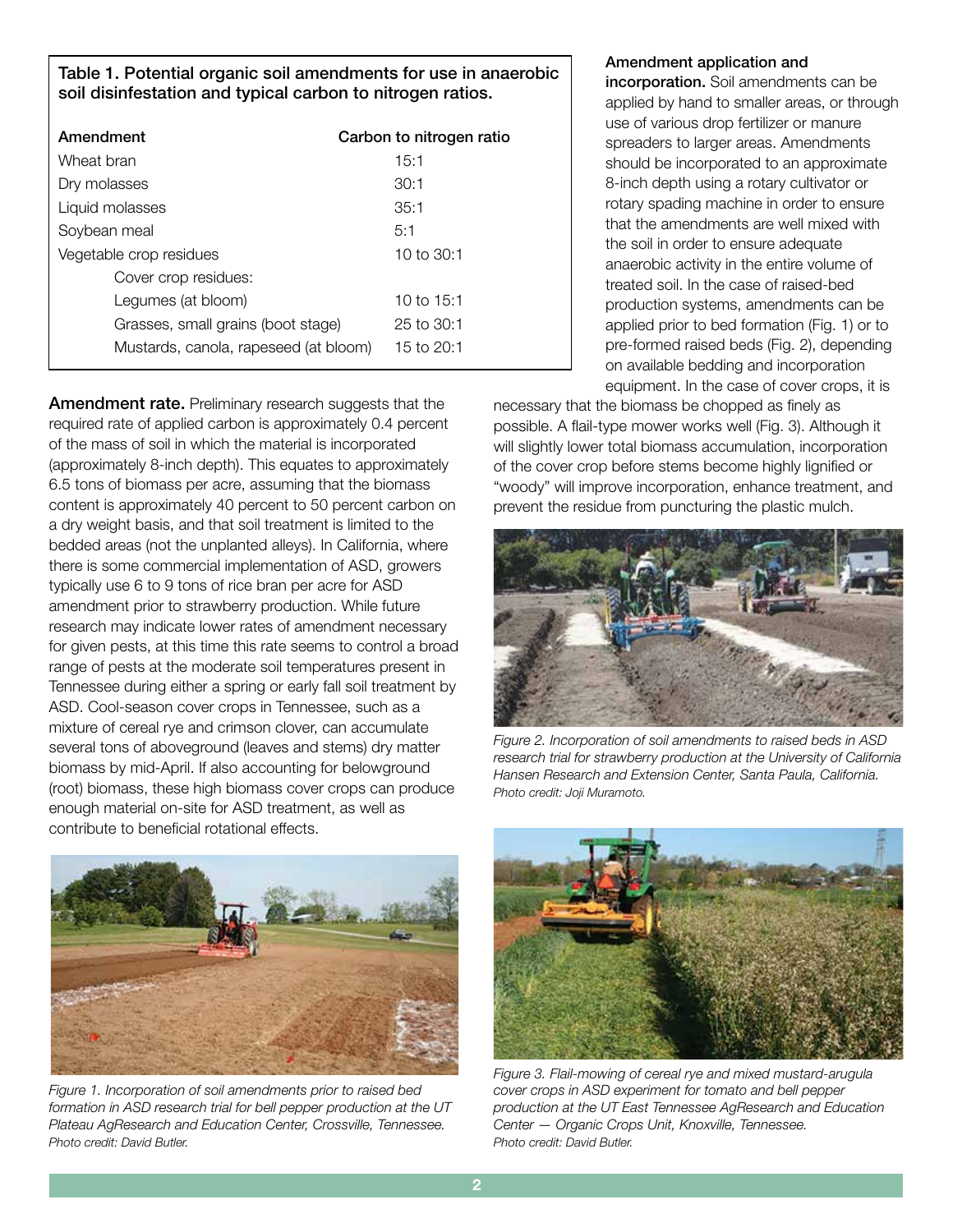Table 1. Potential organic soil amendments for use in anaerobic soil disinfestation and typical carbon to nitrogen ratios.

| Amendment                             | Carbon to nitrogen ratio |
|---------------------------------------|--------------------------|
| Wheat bran                            | 15:1                     |
| Dry molasses                          | 30:1                     |
| Liquid molasses                       | 35:1                     |
| Soybean meal                          | 5:1                      |
| Vegetable crop residues               | 10 to $30:1$             |
| Cover crop residues:                  |                          |
| Legumes (at bloom)                    | 10 to 15:1               |
| Grasses, small grains (boot stage)    | 25 to 30:1               |
| Mustards, canola, rapeseed (at bloom) | 15 to 20:1               |
|                                       |                          |

**Amendment rate.** Preliminary research suggests that the required rate of applied carbon is approximately 0.4 percent of the mass of soil in which the material is incorporated (approximately 8-inch depth). This equates to approximately 6.5 tons of biomass per acre, assuming that the biomass content is approximately 40 percent to 50 percent carbon on a dry weight basis, and that soil treatment is limited to the bedded areas (not the unplanted alleys). In California, where there is some commercial implementation of ASD, growers typically use 6 to 9 tons of rice bran per acre for ASD amendment prior to strawberry production. While future research may indicate lower rates of amendment necessary for given pests, at this time this rate seems to control a broad range of pests at the moderate soil temperatures present in Tennessee during either a spring or early fall soil treatment by ASD. Cool-season cover crops in Tennessee, such as a mixture of cereal rye and crimson clover, can accumulate several tons of aboveground (leaves and stems) dry matter biomass by mid-April. If also accounting for belowground (root) biomass, these high biomass cover crops can produce enough material on-site for ASD treatment, as well as contribute to beneficial rotational effects.

#### Amendment application and

incorporation. Soil amendments can be applied by hand to smaller areas, or through use of various drop fertilizer or manure spreaders to larger areas. Amendments should be incorporated to an approximate 8-inch depth using a rotary cultivator or rotary spading machine in order to ensure that the amendments are well mixed with the soil in order to ensure adequate anaerobic activity in the entire volume of treated soil. In the case of raised-bed production systems, amendments can be applied prior to bed formation (Fig. 1) or to pre-formed raised beds (Fig. 2), depending on available bedding and incorporation equipment. In the case of cover crops, it is

necessary that the biomass be chopped as finely as possible. A flail-type mower works well (Fig. 3). Although it will slightly lower total biomass accumulation, incorporation of the cover crop before stems become highly lignified or "woody" will improve incorporation, enhance treatment, and prevent the residue from puncturing the plastic mulch.



*Figure 2. Incorporation of soil amendments to raised beds in ASD research trial for strawberry production at the University of California Hansen Research and Extension Center, Santa Paula, California. Photo credit: Joji Muramoto.*



*Figure 1. Incorporation of soil amendments prior to raised bed formation in ASD research trial for bell pepper production at the UT Plateau AgResearch and Education Center, Crossville, Tennessee. Photo credit: David Butler.*



*Figure 3. Flail-mowing of cereal rye and mixed mustard-arugula cover crops in ASD experiment for tomato and bell pepper production at the UT East Tennessee AgResearch and Education Center — Organic Crops Unit, Knoxville, Tennessee. Photo credit: David Butler.*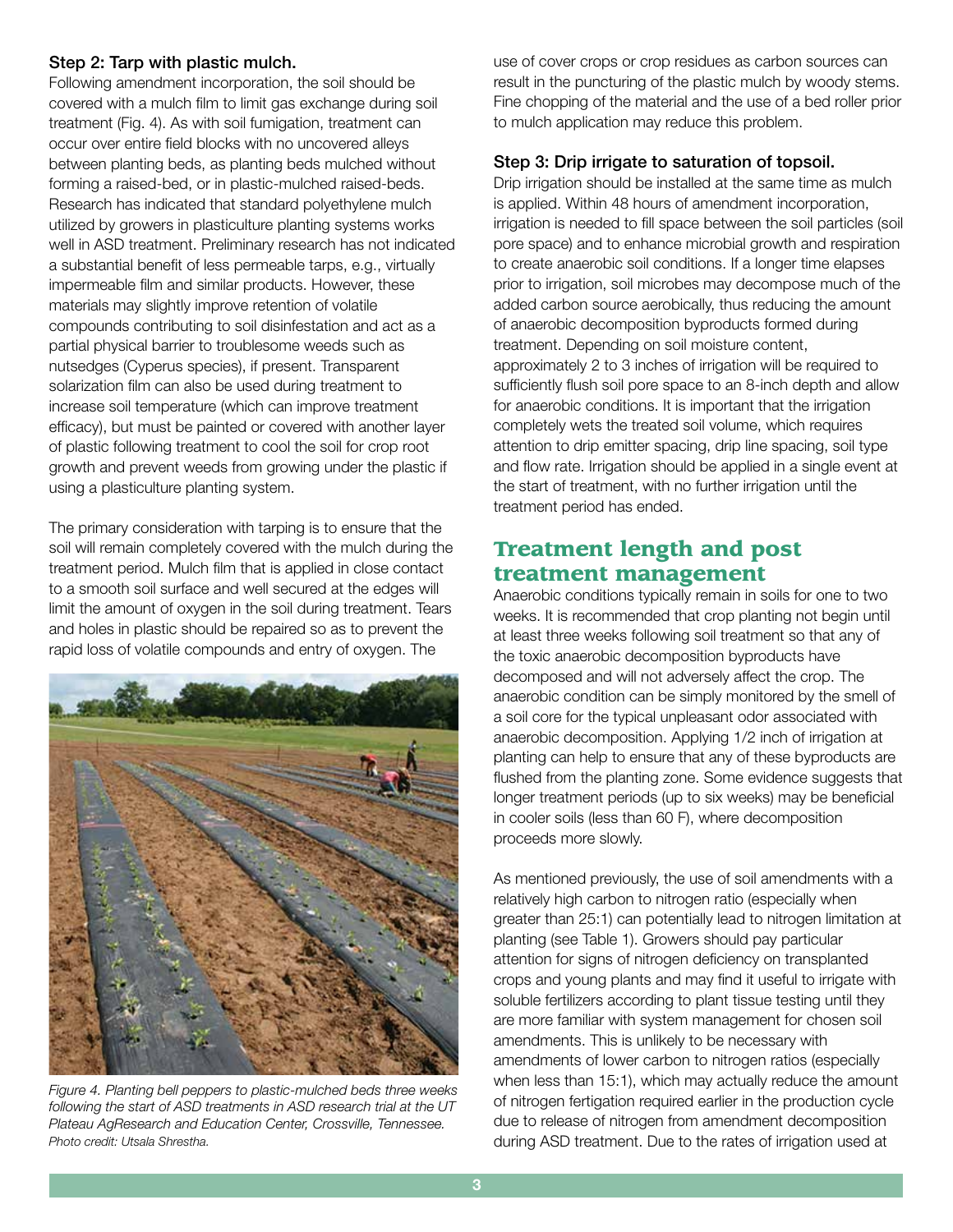#### Step 2: Tarp with plastic mulch.

Following amendment incorporation, the soil should be covered with a mulch film to limit gas exchange during soil treatment (Fig. 4). As with soil fumigation, treatment can occur over entire field blocks with no uncovered alleys between planting beds, as planting beds mulched without forming a raised-bed, or in plastic-mulched raised-beds. Research has indicated that standard polyethylene mulch utilized by growers in plasticulture planting systems works well in ASD treatment. Preliminary research has not indicated a substantial benefit of less permeable tarps, e.g., virtually impermeable film and similar products. However, these materials may slightly improve retention of volatile compounds contributing to soil disinfestation and act as a partial physical barrier to troublesome weeds such as nutsedges (Cyperus species), if present. Transparent solarization film can also be used during treatment to increase soil temperature (which can improve treatment efficacy), but must be painted or covered with another layer of plastic following treatment to cool the soil for crop root growth and prevent weeds from growing under the plastic if using a plasticulture planting system.

The primary consideration with tarping is to ensure that the soil will remain completely covered with the mulch during the treatment period. Mulch film that is applied in close contact to a smooth soil surface and well secured at the edges will limit the amount of oxygen in the soil during treatment. Tears and holes in plastic should be repaired so as to prevent the rapid loss of volatile compounds and entry of oxygen. The



*Figure 4. Planting bell peppers to plastic-mulched beds three weeks following the start of ASD treatments in ASD research trial at the UT Plateau AgResearch and Education Center, Crossville, Tennessee. Photo credit: Utsala Shrestha.*

use of cover crops or crop residues as carbon sources can result in the puncturing of the plastic mulch by woody stems. Fine chopping of the material and the use of a bed roller prior to mulch application may reduce this problem.

#### Step 3: Drip irrigate to saturation of topsoil.

Drip irrigation should be installed at the same time as mulch is applied. Within 48 hours of amendment incorporation, irrigation is needed to fill space between the soil particles (soil pore space) and to enhance microbial growth and respiration to create anaerobic soil conditions. If a longer time elapses prior to irrigation, soil microbes may decompose much of the added carbon source aerobically, thus reducing the amount of anaerobic decomposition byproducts formed during treatment. Depending on soil moisture content, approximately 2 to 3 inches of irrigation will be required to sufficiently flush soil pore space to an 8-inch depth and allow for anaerobic conditions. It is important that the irrigation completely wets the treated soil volume, which requires attention to drip emitter spacing, drip line spacing, soil type and flow rate. Irrigation should be applied in a single event at the start of treatment, with no further irrigation until the treatment period has ended.

## Treatment length and post treatment management

Anaerobic conditions typically remain in soils for one to two weeks. It is recommended that crop planting not begin until at least three weeks following soil treatment so that any of the toxic anaerobic decomposition byproducts have decomposed and will not adversely affect the crop. The anaerobic condition can be simply monitored by the smell of a soil core for the typical unpleasant odor associated with anaerobic decomposition. Applying 1/2 inch of irrigation at planting can help to ensure that any of these byproducts are flushed from the planting zone. Some evidence suggests that longer treatment periods (up to six weeks) may be beneficial in cooler soils (less than 60 F), where decomposition proceeds more slowly.

As mentioned previously, the use of soil amendments with a relatively high carbon to nitrogen ratio (especially when greater than 25:1) can potentially lead to nitrogen limitation at planting (see Table 1). Growers should pay particular attention for signs of nitrogen deficiency on transplanted crops and young plants and may find it useful to irrigate with soluble fertilizers according to plant tissue testing until they are more familiar with system management for chosen soil amendments. This is unlikely to be necessary with amendments of lower carbon to nitrogen ratios (especially when less than 15:1), which may actually reduce the amount of nitrogen fertigation required earlier in the production cycle due to release of nitrogen from amendment decomposition during ASD treatment. Due to the rates of irrigation used at